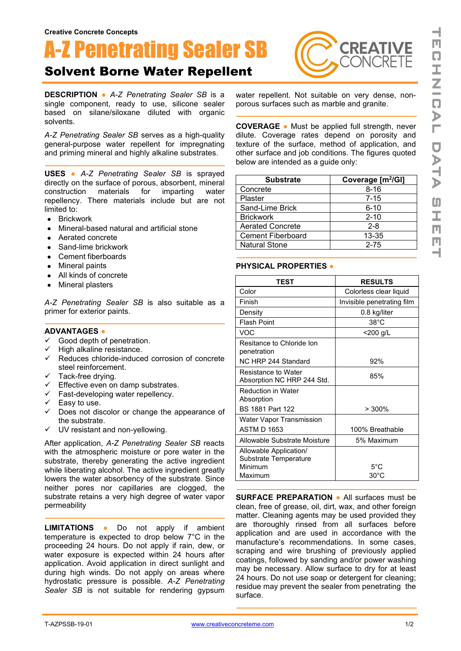# A-Z Penetrating Sealer SB

## Solvent Borne Water Repellent

**DESCRIPTION ●** *A-Z Penetrating Sealer SB* is a single component, ready to use, silicone sealer based on silane/siloxane diluted with organic solvents.

*A-Z Penetrating Sealer SB* serves as a high-quality general-purpose water repellent for impregnating and priming mineral and highly alkaline substrates.

**USES ●** *A-Z Penetrating Sealer SB* is sprayed directly on the surface of porous, absorbent, mineral<br>construction materials for imparting water construction repellency. There materials include but are not limited to:

- Brickwork
- Mineral-based natural and artificial stone
- Aerated concrete
- Sand-lime brickwork
- Cement fiberboards
- Mineral paints
- All kinds of concrete
- Mineral plasters

*A-Z Penetrating Sealer SB* is also suitable as a primer for exterior paints.

#### **ADVANTAGES ●**

- $\checkmark$  Good depth of penetration.
- $\checkmark$  High alkaline resistance.
- $\checkmark$  Reduces chloride-induced corrosion of concrete steel reinforcement.
- $\checkmark$  Tack-free drying.
- $\checkmark$  Effective even on damp substrates.
- $\checkmark$  Fast-developing water repellency.
- $\checkmark$  Easy to use.
- $\checkmark$  Does not discolor or change the appearance of the substrate.
- $\checkmark$  UV resistant and non-yellowing.

After application, *A-Z Penetrating Sealer SB* reacts with the atmospheric moisture or pore water in the substrate, thereby generating the active ingredient while liberating alcohol. The active ingredient greatly lowers the water absorbency of the substrate. Since neither pores nor capillaries are clogged, the substrate retains a very high degree of water vapor permeability

**LIMITATIONS ●** Do not apply if ambient temperature is expected to drop below 7°C in the proceeding 24 hours. Do not apply if rain, dew, or water exposure is expected within 24 hours after application. Avoid application in direct sunlight and during high winds. Do not apply on areas where hydrostatic pressure is possible. *A-Z Penetrating Sealer SB* is not suitable for rendering gypsum



water repellent. Not suitable on very dense, nonporous surfaces such as marble and granite.

**COVERAGE ●** Must be applied full strength, never dilute. Coverage rates depend on porosity and texture of the surface, method of application, and other surface and job conditions. The figures quoted below are intended as a guide only:

| <b>Substrate</b>         | Coverage [m <sup>2</sup> /GI] |
|--------------------------|-------------------------------|
| Concrete                 | $8 - 16$                      |
| Plaster                  | $7 - 15$                      |
| Sand-Lime Brick          | $6 - 10$                      |
| <b>Brickwork</b>         | $2 - 10$                      |
| <b>Aerated Concrete</b>  | $2 - 8$                       |
| <b>Cement Fiberboard</b> | 13-35                         |
| <b>Natural Stone</b>     | $2 - 75$                      |

#### **PHYSICAL PROPERTIES ●**

| TEST                                              | <b>RESULTS</b>             |
|---------------------------------------------------|----------------------------|
| Color                                             | Colorless clear liquid     |
| Finish                                            | Invisible penetrating film |
| Density                                           | 0.8 kg/liter               |
| <b>Flash Point</b>                                | $38^{\circ}$ C             |
| VOC                                               | <200 g/L                   |
| Resitance to Chloride Ion<br>penetration          |                            |
| NC HRP 244 Standard                               | 92%                        |
| Resistance to Water<br>Absorption NC HRP 244 Std. | 85%                        |
| <b>Reduction in Water</b><br>Absorption           |                            |
| <b>BS 1881 Part 122</b>                           | $>300\%$                   |
| Water Vapor Transmission                          |                            |
| <b>ASTM D 1653</b>                                | 100% Breathable            |
| Allowable Substrate Moisture                      | 5% Maximum                 |
| Allowable Application/                            |                            |
| Substrate Temperature<br>Minimum                  | $5^{\circ}$ C              |
| Maximum                                           | $30^{\circ}$ C             |

**SURFACE PREPARATION ●** All surfaces must be clean, free of grease, oil, dirt, wax, and other foreign matter. Cleaning agents may be used provided they are thoroughly rinsed from all surfaces before application and are used in accordance with the manufacture's recommendations. In some cases, scraping and wire brushing of previously applied coatings, followed by sanding and/or power washing may be necessary. Allow surface to dry for at least 24 hours. Do not use soap or detergent for cleaning; residue may prevent the sealer from penetrating the surface.